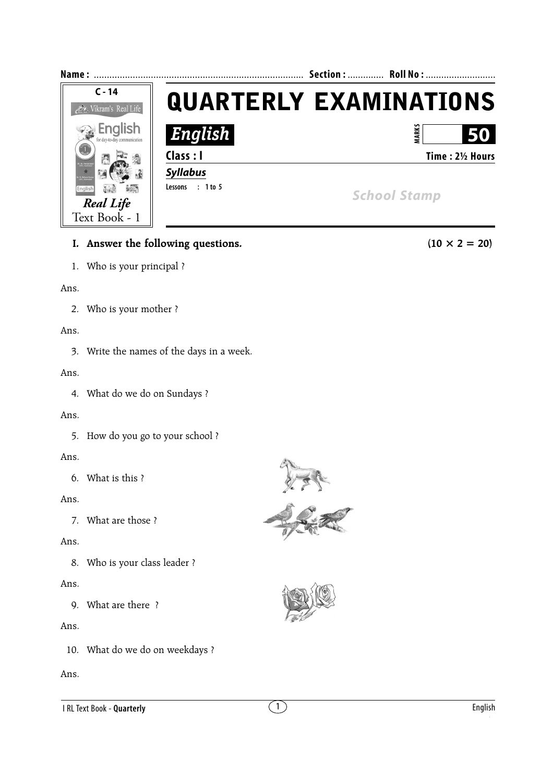

## **I.** Answer the following questions.  $(10 \times 2 = 20)$

1. Who is your principal ?

#### Ans.

2. Who is your mother ?

#### Ans.

3. Write the names of the days in a week.

#### Ans.

4. What do we do on Sundays ?

#### Ans.

5. How do you go to your school ?

## Ans.

6. What is this ?

## Ans.

7. What are those ?

## Ans.

8. Who is your class leader ?

## Ans.

9. What are there ?

## Ans.

10. What do we do on weekdays ?

## Ans.